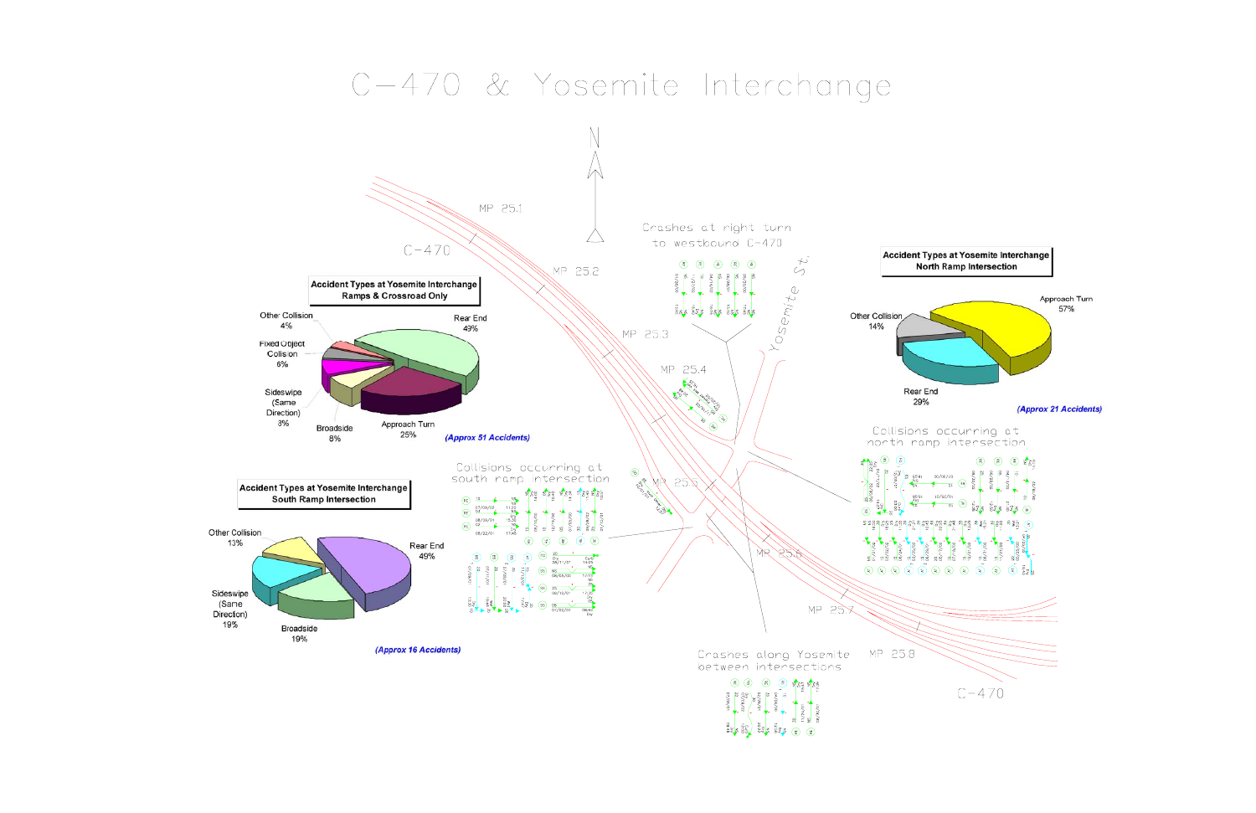# C-470 & Yosemite Interchange

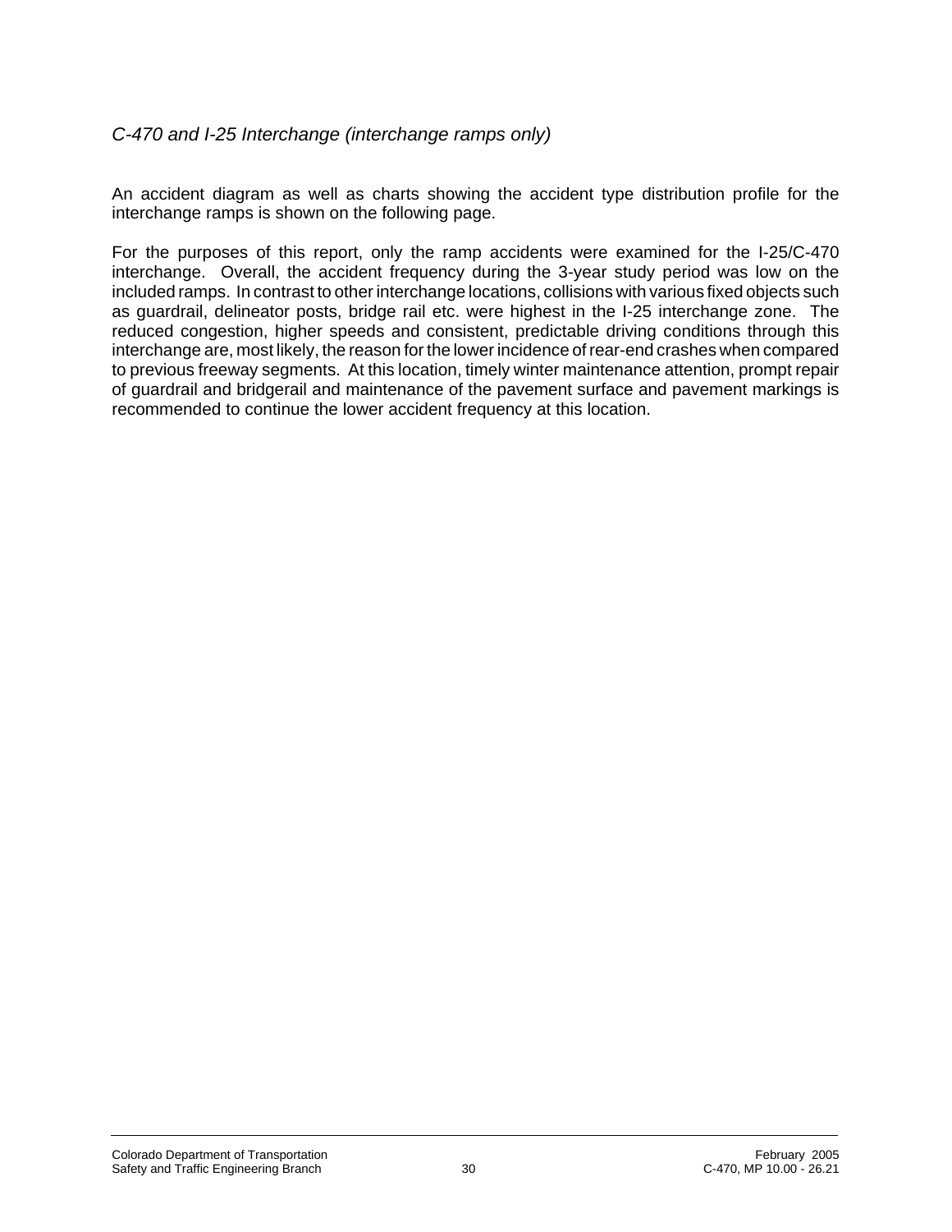#### *C-470 and I-25 Interchange (interchange ramps only)*

An accident diagram as well as charts showing the accident type distribution profile for the interchange ramps is shown on the following page.

For the purposes of this report, only the ramp accidents were examined for the I-25/C-470 interchange. Overall, the accident frequency during the 3-year study period was low on the included ramps. In contrast to other interchange locations, collisions with various fixed objects such as guardrail, delineator posts, bridge rail etc. were highest in the I-25 interchange zone. The reduced congestion, higher speeds and consistent, predictable driving conditions through this interchange are, most likely, the reason for the lower incidence of rear-end crashes when compared to previous freeway segments. At this location, timely winter maintenance attention, prompt repair of guardrail and bridgerail and maintenance of the pavement surface and pavement markings is recommended to continue the lower accident frequency at this location.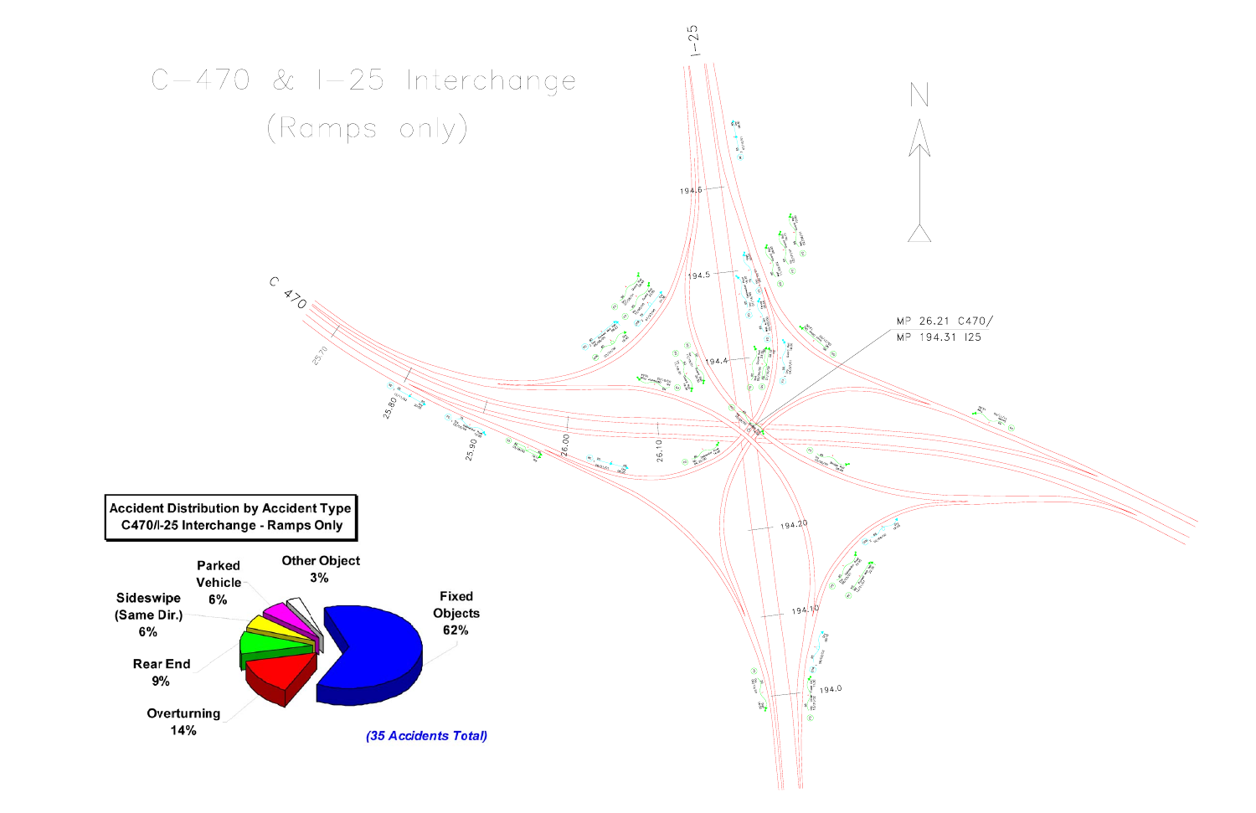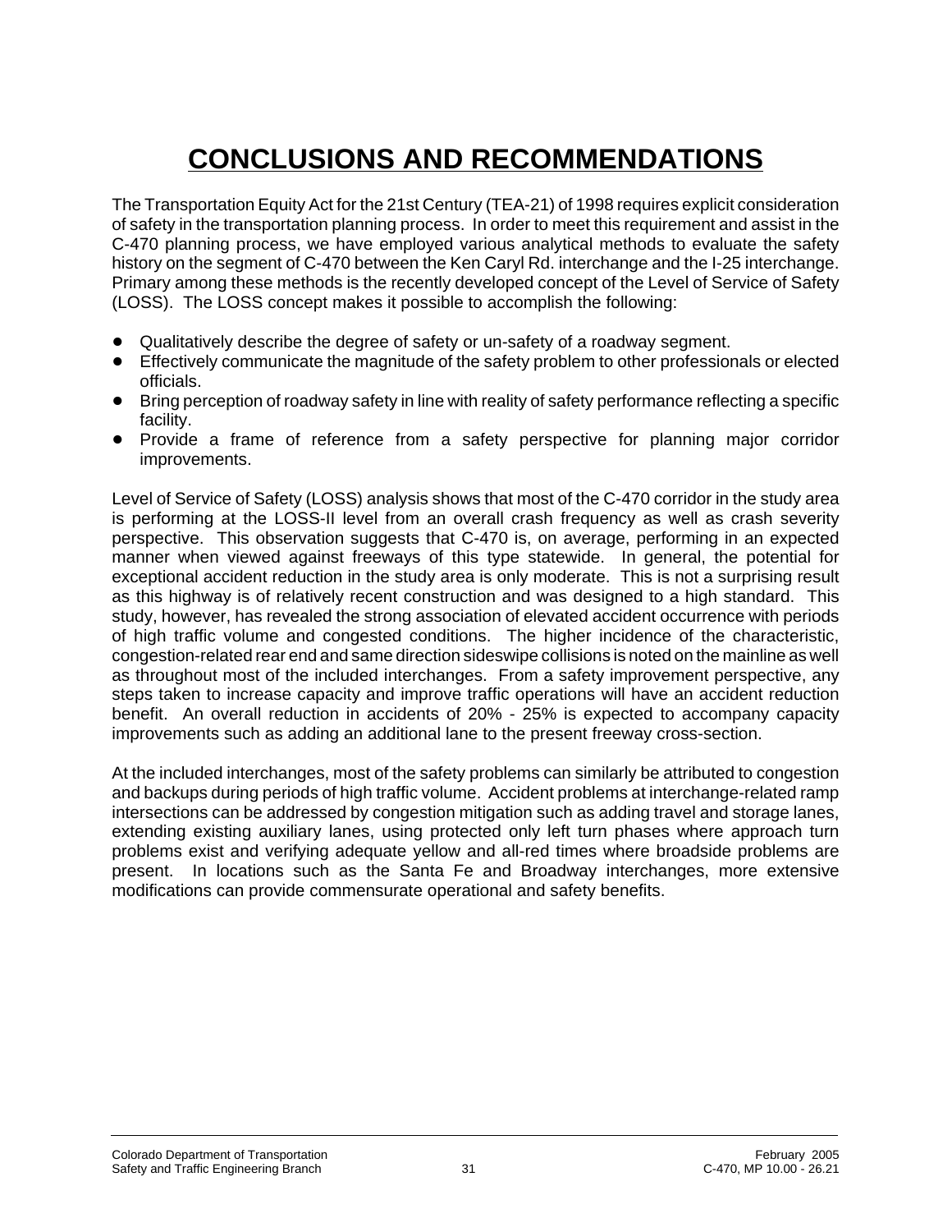## **CONCLUSIONS AND RECOMMENDATIONS**

The Transportation Equity Act for the 21st Century (TEA-21) of 1998 requires explicit consideration of safety in the transportation planning process. In order to meet this requirement and assist in the C-470 planning process, we have employed various analytical methods to evaluate the safety history on the segment of C-470 between the Ken Caryl Rd. interchange and the I-25 interchange. Primary among these methods is the recently developed concept of the Level of Service of Safety (LOSS). The LOSS concept makes it possible to accomplish the following:

- Qualitatively describe the degree of safety or un-safety of a roadway segment.
- ! Effectively communicate the magnitude of the safety problem to other professionals or elected officials.
- Bring perception of roadway safety in line with reality of safety performance reflecting a specific facility.
- ! Provide a frame of reference from a safety perspective for planning major corridor improvements.

Level of Service of Safety (LOSS) analysis shows that most of the C-470 corridor in the study area is performing at the LOSS-II level from an overall crash frequency as well as crash severity perspective. This observation suggests that C-470 is, on average, performing in an expected manner when viewed against freeways of this type statewide. In general, the potential for exceptional accident reduction in the study area is only moderate. This is not a surprising result as this highway is of relatively recent construction and was designed to a high standard. This study, however, has revealed the strong association of elevated accident occurrence with periods of high traffic volume and congested conditions. The higher incidence of the characteristic, congestion-related rear end and same direction sideswipe collisions is noted on the mainline as well as throughout most of the included interchanges. From a safety improvement perspective, any steps taken to increase capacity and improve traffic operations will have an accident reduction benefit. An overall reduction in accidents of 20% - 25% is expected to accompany capacity improvements such as adding an additional lane to the present freeway cross-section.

At the included interchanges, most of the safety problems can similarly be attributed to congestion and backups during periods of high traffic volume. Accident problems at interchange-related ramp intersections can be addressed by congestion mitigation such as adding travel and storage lanes, extending existing auxiliary lanes, using protected only left turn phases where approach turn problems exist and verifying adequate yellow and all-red times where broadside problems are present. In locations such as the Santa Fe and Broadway interchanges, more extensive modifications can provide commensurate operational and safety benefits.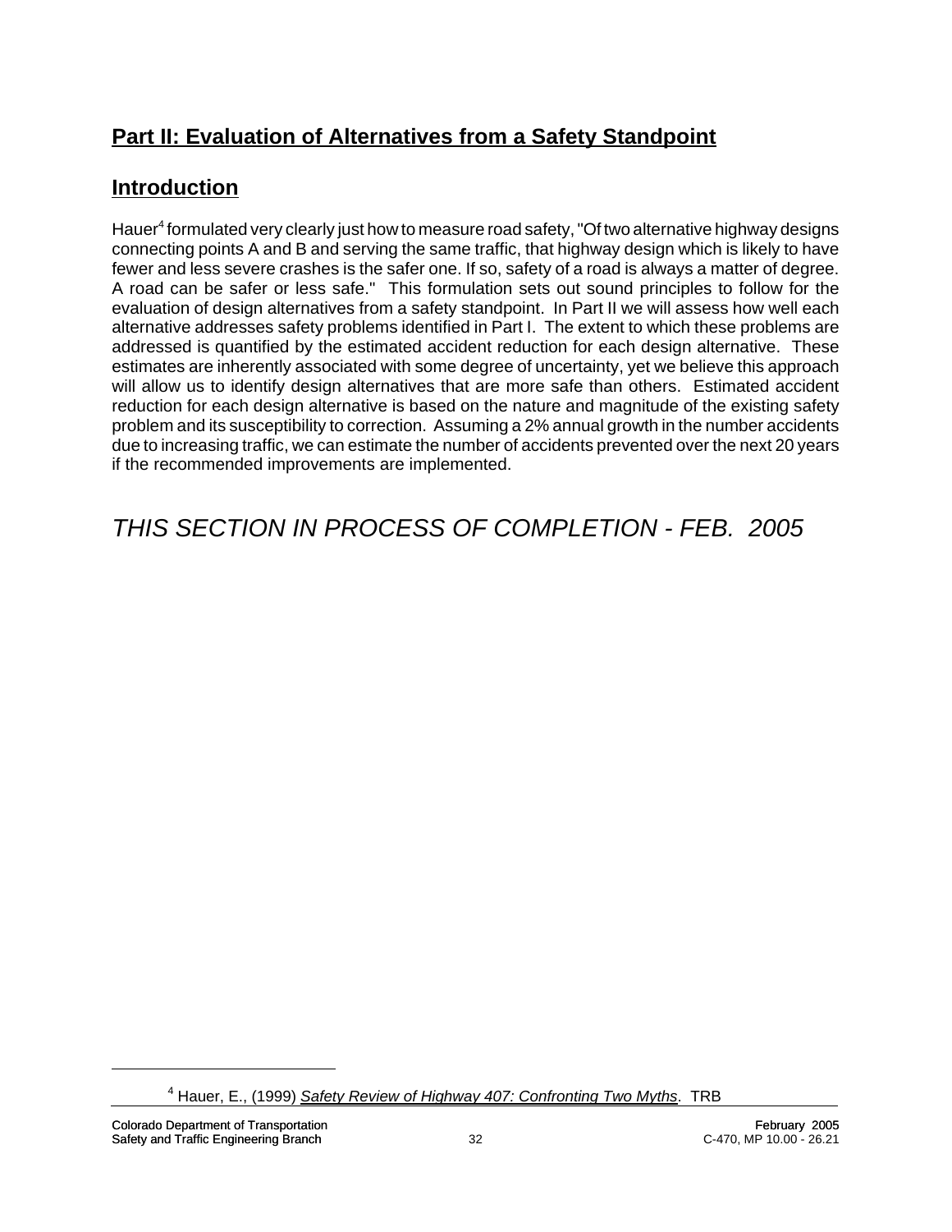#### **Part II: Evaluation of Alternatives from a Safety Standpoint**

#### **Introduction**

Hauer<sup>4</sup> formulated very clearly just how to measure road safety, "Of two alternative highway designs connecting points A and B and serving the same traffic, that highway design which is likely to have fewer and less severe crashes is the safer one. If so, safety of a road is always a matter of degree. A road can be safer or less safe." This formulation sets out sound principles to follow for the evaluation of design alternatives from a safety standpoint. In Part II we will assess how well each alternative addresses safety problems identified in Part I. The extent to which these problems are addressed is quantified by the estimated accident reduction for each design alternative. These estimates are inherently associated with some degree of uncertainty, yet we believe this approach will allow us to identify design alternatives that are more safe than others. Estimated accident reduction for each design alternative is based on the nature and magnitude of the existing safety problem and its susceptibility to correction. Assuming a 2% annual growth in the number accidents due to increasing traffic, we can estimate the number of accidents prevented over the next 20 years if the recommended improvements are implemented.

*THIS SECTION IN PROCESS OF COMPLETION - FEB. 2005*

<sup>4</sup> Hauer, E., (1999) *Safety Review of Highway 407: Confronting Two Myths*. TRB